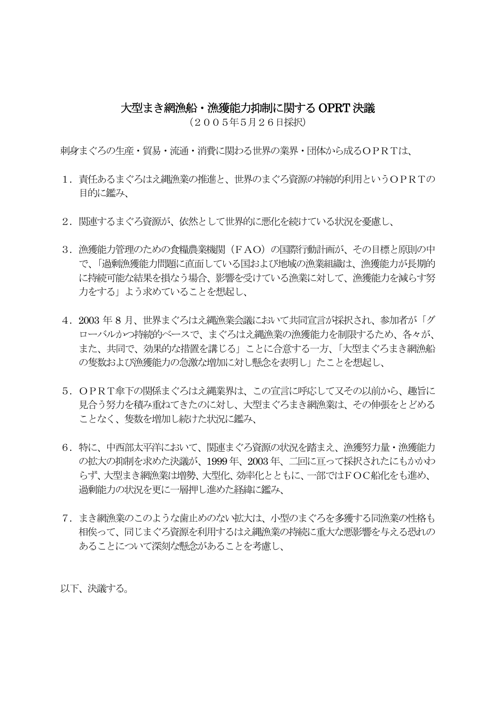## 大型まき網漁船・漁獲能力抑制に関するOPRT 決議

(2005年5月26日採択)

刺身まぐろの生産・貿易・流通・消費に関わる世界の業界・団体から成るOPRTは、

- 1. 責任あるまぐろはえ縄漁業の推進と、世界のまぐろ資源の持続的利用というOPRTの 目的に鑑み、
- 2. 関連するまぐろ資源が、依然として世界的に悪化を続けている状況を憂慮し、
- 3. 漁獲能力管理のための食糧農業機関(FAO)の国際行動計画が、その目標と原則の中 で、「過剰漁獲能力問題に直面している国および地域の漁業組織は、漁獲能力が長期的 に持続可能な結果を損なう場合、影響を受けている漁業に対して、漁獲能力を減らす努 力をする」よう求めていることを想起し、
- 4. 2003 年 8 月、世界まぐろはえ縄漁業会議において共同宣言が採択され、参加者が「グ ローバルかつ持続的ベースで、まぐろはえ縄漁業の漁獲能力を制限するため、各々が、 また、共同で、効果的な措置を講じる」ことに合意する一方、「大型まぐろまき網漁船 の隻数および漁獲能力の急激な増加に対し懸念を表明し」たことを想起し、
- 5. OPRT傘下の関係まぐろはえ縄業界は、この宣言に呼応して又その以前から、趣旨に 見合う努力を積み重ねてきたのに対し、大型まぐろまき網漁業は、その伸張をとどめる ことなく、隻数を増加し続けた状況に鑑み、
- 6. 特に、中西部太平洋において、関連まぐろ資源の状況を踏まえ、漁獲努力量・漁獲能力 の拡大の抑制を求めた決議が、1999 年、2003 年、二回に亘って採択されたにもかかわ らず、大型まき網漁業は増勢、大型化、効率化とともに、一部ではFOC船化をも進め、 過剰能力の状況を更に一層押し進めた経緯に鑑み、
- 7. まき網漁業のこのような歯止めのない拡大は、小型のまぐろを多獲する同漁業の性格も 相俟って、同じまぐろ資源を利用するはえ縄漁業の持続に重大な悪影響を与える恐れの あることについて深刻な懸念があることを考慮し、

以下、決議する。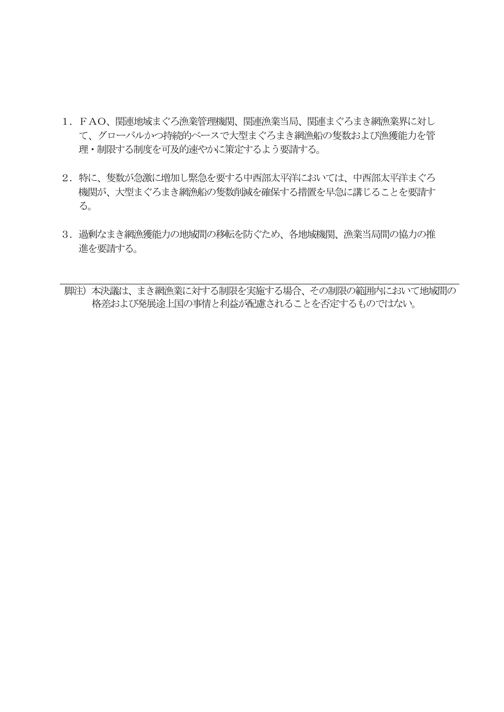- 1. FAO、関連地域まぐろ漁業管理機関、関連漁業当局、関連まぐろまき網漁業界に対し て、グローバルかつ持続的ベースで大型まぐろまき網漁船の隻数および漁獲能力を管 理・制限する制度を可及的速やかに策定するよう要請する。
- 2. 特に、隻数が急激に増加し緊急を要する中西部太平洋においては、中西部太平洋まぐろ 機関が、大型まぐろまき網漁船の隻数削減を確保する措置を早急に講じることを要請す  $\mathcal{Z}_{\infty}$
- 3. 過剰なまき網漁獲能力の地域間の移転を防ぐため、各地域機関、漁業当局間の協力の推 進を要請する。
- 脚注)本決議は、まき網漁業に対する制限を実施する場合、その制限の範囲内において地域間の 格差および発展途上国の事情と利益が配慮されることを否定するものではない。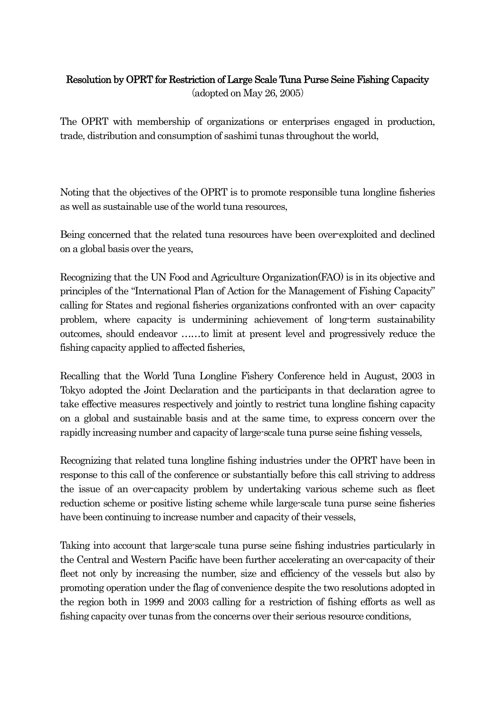## Resolution by OPRT for Restriction of Large Scale Tuna Purse Seine Fishing Capacity (adopted on May 26, 2005)

The OPRT with membership of organizations or enterprises engaged in production, trade, distribution and consumption of sashimi tunas throughout the world,

Noting that the objectives of the OPRT is to promote responsible tuna longline fisheries as well as sustainable use of the world tuna resources,

Being concerned that the related tuna resources have been over-exploited and declined on a global basis over the years,

Recognizing that the UN Food and Agriculture Organization(FAO) is in its objective and principles of the "International Plan of Action for the Management of Fishing Capacity" calling for States and regional fisheries organizations confronted with an over- capacity problem, where capacity is undermining achievement of long-term sustainability outcomes, should endeavor ……to limit at present level and progressively reduce the fishing capacity applied to affected fisheries,

Recalling that the World Tuna Longline Fishery Conference held in August, 2003 in Tokyo adopted the Joint Declaration and the participants in that declaration agree to take effective measures respectively and jointly to restrict tuna longline fishing capacity on a global and sustainable basis and at the same time, to express concern over the rapidly increasing number and capacity of large-scale tuna purse seine fishing vessels,

Recognizing that related tuna longline fishing industries under the OPRT have been in response to this call of the conference or substantially before this call striving to address the issue of an over-capacity problem by undertaking various scheme such as fleet reduction scheme or positive listing scheme while large-scale tuna purse seine fisheries have been continuing to increase number and capacity of their vessels,

Taking into account that large-scale tuna purse seine fishing industries particularly in the Central and Western Pacific have been further accelerating an over-capacity of their fleet not only by increasing the number, size and efficiency of the vessels but also by promoting operation under the flag of convenience despite the two resolutions adopted in the region both in 1999 and 2003 calling for a restriction of fishing efforts as well as fishing capacity over tunas from the concerns over their serious resource conditions,